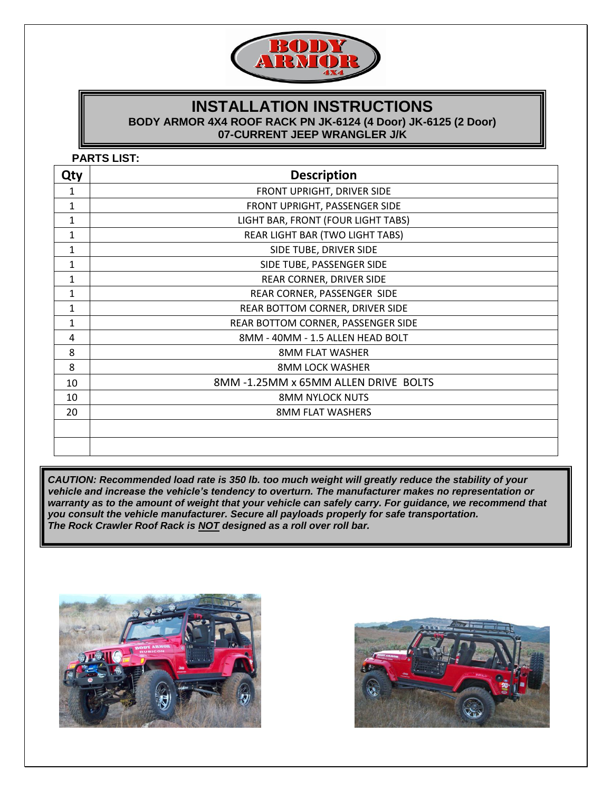

## **INSTALLATION INSTRUCTIONS BODY ARMOR 4X4 ROOF RACK PN JK-6124 (4 Door) JK-6125 (2 Door) 07-CURRENT JEEP WRANGLER J/K**

**PARTS LIST:**

| Qty          | <b>Description</b>                   |
|--------------|--------------------------------------|
| 1            | FRONT UPRIGHT, DRIVER SIDE           |
| 1            | FRONT UPRIGHT, PASSENGER SIDE        |
| 1            | LIGHT BAR, FRONT (FOUR LIGHT TABS)   |
| $\mathbf{1}$ | REAR LIGHT BAR (TWO LIGHT TABS)      |
| $\mathbf{1}$ | SIDE TUBE, DRIVER SIDE               |
| 1            | SIDE TUBE, PASSENGER SIDE            |
| $\mathbf{1}$ | REAR CORNER, DRIVER SIDE             |
| $\mathbf{1}$ | REAR CORNER, PASSENGER SIDE          |
| $\mathbf{1}$ | REAR BOTTOM CORNER, DRIVER SIDE      |
| $\mathbf{1}$ | REAR BOTTOM CORNER, PASSENGER SIDE   |
| 4            | 8MM - 40MM - 1.5 ALLEN HEAD BOLT     |
| 8            | <b>8MM FLAT WASHER</b>               |
| 8            | <b>8MM LOCK WASHER</b>               |
| 10           | 8MM -1.25MM x 65MM ALLEN DRIVE BOLTS |
| 10           | <b>8MM NYLOCK NUTS</b>               |
| 20           | <b>8MM FLAT WASHERS</b>              |
|              |                                      |
|              |                                      |
|              |                                      |

*CAUTION: Recommended load rate is 350 lb. too much weight will greatly reduce the stability of your vehicle and increase the vehicle's tendency to overturn. The manufacturer makes no representation or warranty as to the amount of weight that your vehicle can safely carry. For guidance, we recommend that you consult the vehicle manufacturer. Secure all payloads properly for safe transportation. The Rock Crawler Roof Rack is NOT designed as a roll over roll bar.* 



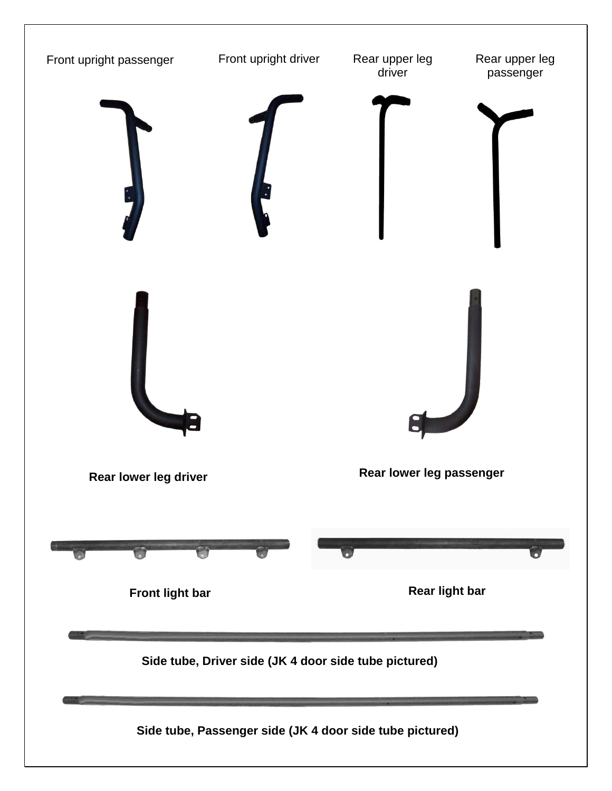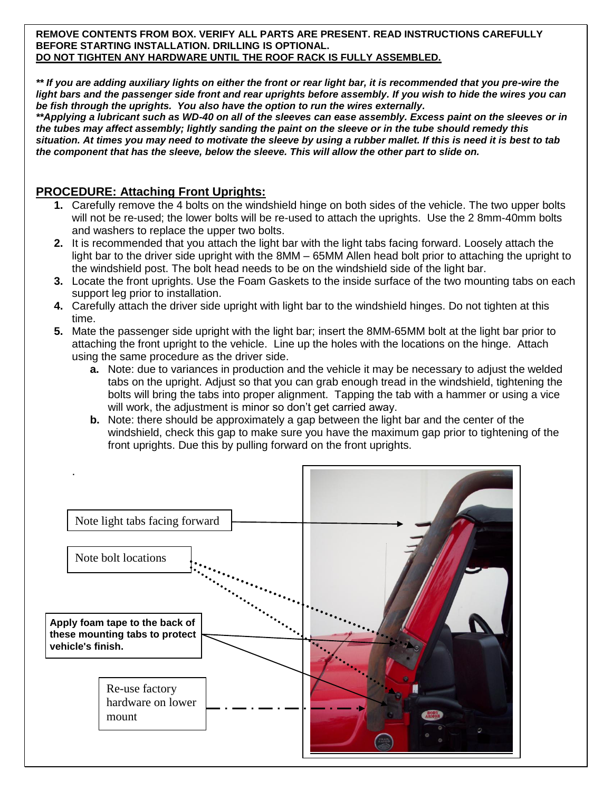**REMOVE CONTENTS FROM BOX. VERIFY ALL PARTS ARE PRESENT. READ INSTRUCTIONS CAREFULLY BEFORE STARTING INSTALLATION. DRILLING IS OPTIONAL. DO NOT TIGHTEN ANY HARDWARE UNTIL THE ROOF RACK IS FULLY ASSEMBLED.**

*\*\* If you are adding auxiliary lights on either the front or rear light bar, it is recommended that you pre-wire the light bars and the passenger side front and rear uprights before assembly. If you wish to hide the wires you can be fish through the uprights. You also have the option to run the wires externally.*

*\*\*Applying a lubricant such as WD-40 on all of the sleeves can ease assembly. Excess paint on the sleeves or in the tubes may affect assembly; lightly sanding the paint on the sleeve or in the tube should remedy this situation. At times you may need to motivate the sleeve by using a rubber mallet. If this is need it is best to tab the component that has the sleeve, below the sleeve. This will allow the other part to slide on.*

### **PROCEDURE: Attaching Front Uprights:**

- **1.** Carefully remove the 4 bolts on the windshield hinge on both sides of the vehicle. The two upper bolts will not be re-used; the lower bolts will be re-used to attach the uprights. Use the 2 8mm-40mm bolts and washers to replace the upper two bolts.
- **2.** It is recommended that you attach the light bar with the light tabs facing forward. Loosely attach the light bar to the driver side upright with the 8MM – 65MM Allen head bolt prior to attaching the upright to the windshield post. The bolt head needs to be on the windshield side of the light bar.
- **3.** Locate the front uprights. Use the Foam Gaskets to the inside surface of the two mounting tabs on each support leg prior to installation.
- **4.** Carefully attach the driver side upright with light bar to the windshield hinges. Do not tighten at this time.
- **5.** Mate the passenger side upright with the light bar; insert the 8MM-65MM bolt at the light bar prior to attaching the front upright to the vehicle. Line up the holes with the locations on the hinge. Attach using the same procedure as the driver side.
	- **a.** Note: due to variances in production and the vehicle it may be necessary to adjust the welded tabs on the upright. Adjust so that you can grab enough tread in the windshield, tightening the bolts will bring the tabs into proper alignment. Tapping the tab with a hammer or using a vice will work, the adjustment is minor so don't get carried away.
	- **b.** Note: there should be approximately a gap between the light bar and the center of the windshield, check this gap to make sure you have the maximum gap prior to tightening of the front uprights. Due this by pulling forward on the front uprights.

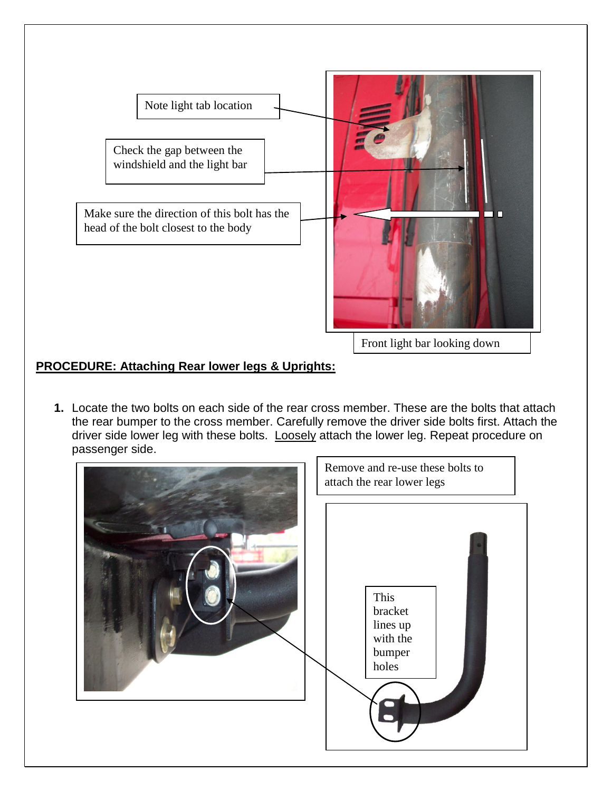

# **PROCEDURE: Attaching Rear lower legs & Uprights:**

**1.** Locate the two bolts on each side of the rear cross member. These are the bolts that attach the rear bumper to the cross member. Carefully remove the driver side bolts first. Attach the driver side lower leg with these bolts. Loosely attach the lower leg. Repeat procedure on passenger side.

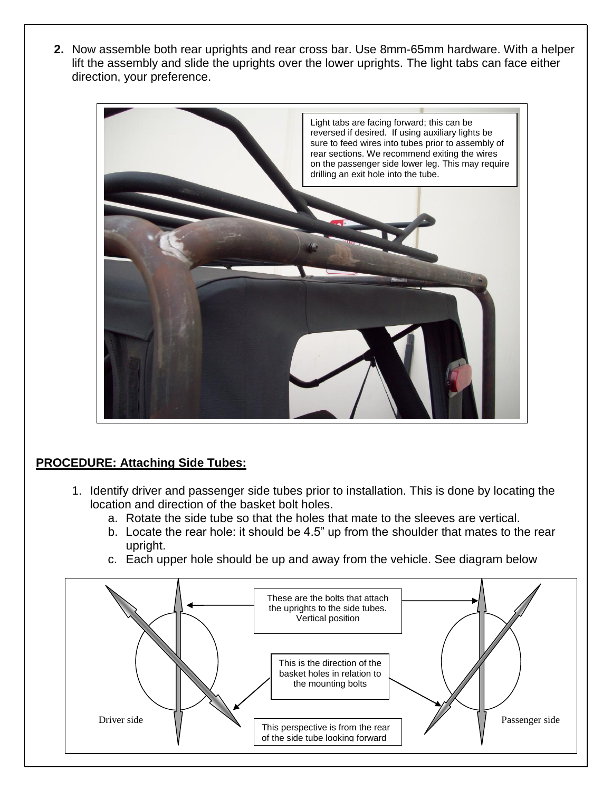**2.** Now assemble both rear uprights and rear cross bar. Use 8mm-65mm hardware. With a helper lift the assembly and slide the uprights over the lower uprights. The light tabs can face either direction, your preference.



# **PROCEDURE: Attaching Side Tubes:**

- 1. Identify driver and passenger side tubes prior to installation. This is done by locating the location and direction of the basket bolt holes.
	- a. Rotate the side tube so that the holes that mate to the sleeves are vertical.
	- b. Locate the rear hole: it should be 4.5" up from the shoulder that mates to the rear upright.
	- c. Each upper hole should be up and away from the vehicle. See diagram below